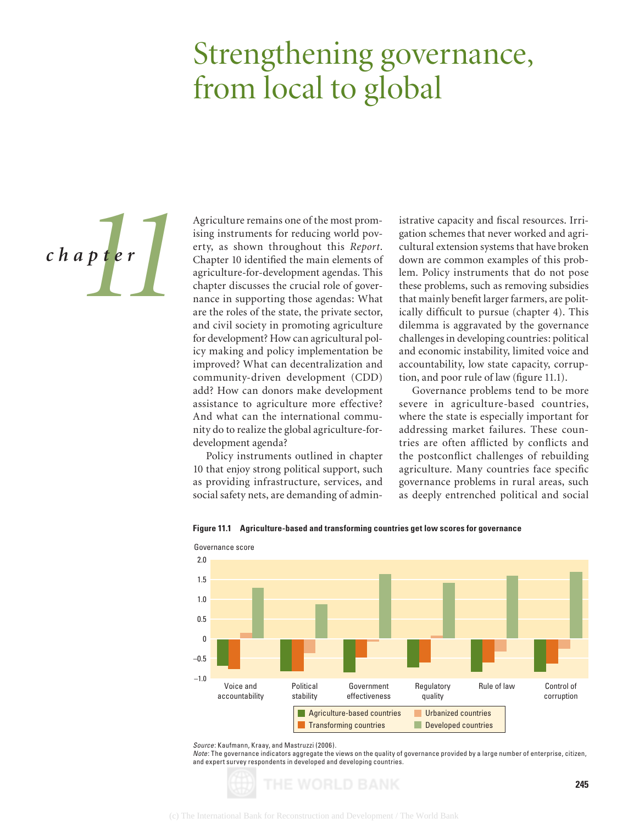# Strengthening governance, from local to global



Agriculture remains one of the most promising instruments for reducing world poverty, as shown throughout this *Report*. Chapter 10 identified the main elements of agriculture-for-development agendas. This chapter discusses the crucial role of governance in supporting those agendas: What are the roles of the state, the private sector, and civil society in promoting agriculture for development? How can agricultural policy making and policy implementation be improved? What can decentralization and community-driven development (CDD) add? How can donors make development assistance to agriculture more effective? And what can the international community do to realize the global agriculture-fordevelopment agenda?

Policy instruments outlined in chapter 10 that enjoy strong political support, such as providing infrastructure, services, and social safety nets, are demanding of admin-

istrative capacity and fiscal resources. Irrigation schemes that never worked and agricultural extension systems that have broken down are common examples of this problem. Policy instruments that do not pose these problems, such as removing subsidies that mainly benefit larger farmers, are politically difficult to pursue (chapter 4). This dilemma is aggravated by the governance challenges in developing countries: political and economic instability, limited voice and accountability, low state capacity, corruption, and poor rule of law (figure 11.1).

Governance problems tend to be more severe in agriculture-based countries, where the state is especially important for addressing market failures. These countries are often afflicted by conflicts and the postconflict challenges of rebuilding agriculture. Many countries face specific governance problems in rural areas, such as deeply entrenched political and social



#### **Figure 11.1 Agriculture-based and transforming countries get low scores for governance**

Source: Kaufmann, Kraav, and Mastruzzi (2006).

Note: The governance indicators aggregate the views on the quality of governance provided by a large number of enterprise, citizen, and expert survey respondents in developed and developing countries.

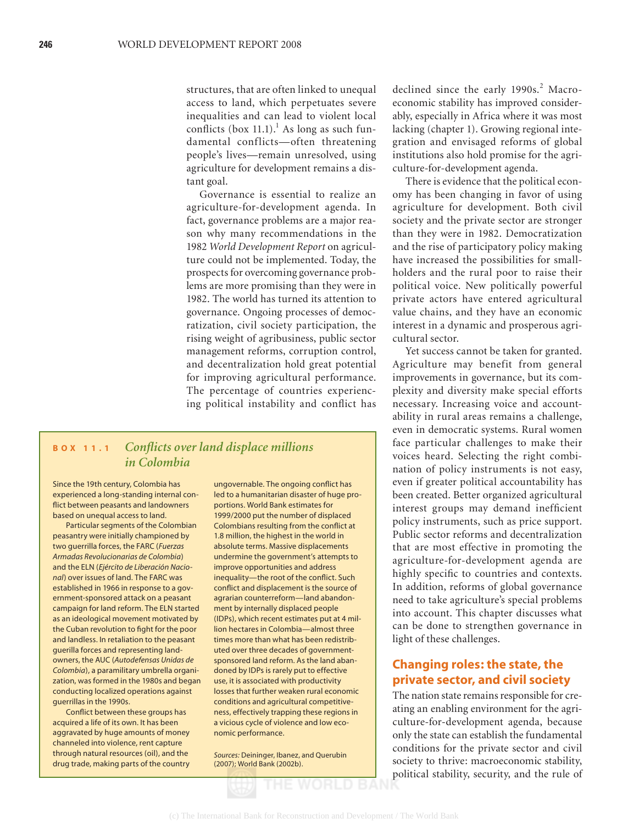structures, that are often linked to unequal access to land, which perpetuates severe inequalities and can lead to violent local conflicts (box 11.1).<sup>1</sup> As long as such fundamental conflicts—often threatening people's lives—remain unresolved, using agriculture for development remains a distant goal.

Governance is essential to realize an agriculture-for-development agenda. In fact, governance problems are a major reason why many recommendations in the 1982 *World Development Report* on agriculture could not be implemented. Today, the prospects for overcoming governance problems are more promising than they were in 1982. The world has turned its attention to governance. Ongoing processes of democratization, civil society participation, the rising weight of agribusiness, public sector management reforms, corruption control, and decentralization hold great potential for improving agricultural performance. The percentage of countries experiencing political instability and conflict has

# **BOX 11.1** *Confl icts over land displace millions in Colombia*

Since the 19th century, Colombia has experienced a long-standing internal conflict between peasants and landowners based on unequal access to land.

Particular segments of the Colombian peasantry were initially championed by two guerrilla forces, the FARC (*Fuerzas Armadas Revolucionarias de Colombia*) and the ELN (*Ejército de Liberación Nacional*) over issues of land. The FARC was established in 1966 in response to a government-sponsored attack on a peasant campaign for land reform. The ELN started as an ideological movement motivated by the Cuban revolution to fight for the poor and landless. In retaliation to the peasant guerilla forces and representing landowners, the AUC (*Autodefensas Unidas de Colombia*), a paramilitary umbrella organization, was formed in the 1980s and began conducting localized operations against guerrillas in the 1990s.

Conflict between these groups has acquired a life of its own. It has been aggravated by huge amounts of money channeled into violence, rent capture through natural resources (oil), and the drug trade, making parts of the country

ungovernable. The ongoing conflict has led to a humanitarian disaster of huge proportions. World Bank estimates for 1999/2000 put the number of displaced Colombians resulting from the conflict at 1.8 million, the highest in the world in absolute terms. Massive displacements undermine the government's attempts to improve opportunities and address inequality—the root of the conflict. Such conflict and displacement is the source of agrarian counterreform—land abandonment by internally displaced people (IDPs), which recent estimates put at 4 million hectares in Colombia—almost three times more than what has been redistributed over three decades of governmentsponsored land reform. As the land abandoned by IDPs is rarely put to effective use, it is associated with productivity losses that further weaken rural economic conditions and agricultural competitiveness, effectively trapping these regions in a vicious cycle of violence and low economic performance.

*Sources:* Deininger, Ibanez, and Querubin (2007); World Bank (2002b).

declined since the early 1990s.<sup>2</sup> Macroeconomic stability has improved considerably, especially in Africa where it was most lacking (chapter 1). Growing regional integration and envisaged reforms of global institutions also hold promise for the agriculture-for-development agenda.

There is evidence that the political economy has been changing in favor of using agriculture for development. Both civil society and the private sector are stronger than they were in 1982. Democratization and the rise of participatory policy making have increased the possibilities for smallholders and the rural poor to raise their political voice. New politically powerful private actors have entered agricultural value chains, and they have an economic interest in a dynamic and prosperous agricultural sector.

Yet success cannot be taken for granted. Agriculture may benefit from general improvements in governance, but its complexity and diversity make special efforts necessary. Increasing voice and accountability in rural areas remains a challenge, even in democratic systems. Rural women face particular challenges to make their voices heard. Selecting the right combination of policy instruments is not easy, even if greater political accountability has been created. Better organized agricultural interest groups may demand inefficient policy instruments, such as price support. Public sector reforms and decentralization that are most effective in promoting the agriculture-for-development agenda are highly specific to countries and contexts. In addition, reforms of global governance need to take agriculture's special problems into account. This chapter discusses what can be done to strengthen governance in light of these challenges.

#### **Changing roles: the state, the private sector, and civil society**

The nation state remains responsible for creating an enabling environment for the agriculture-for-development agenda, because only the state can establish the fundamental conditions for the private sector and civil society to thrive: macroeconomic stability, political stability, security, and the rule of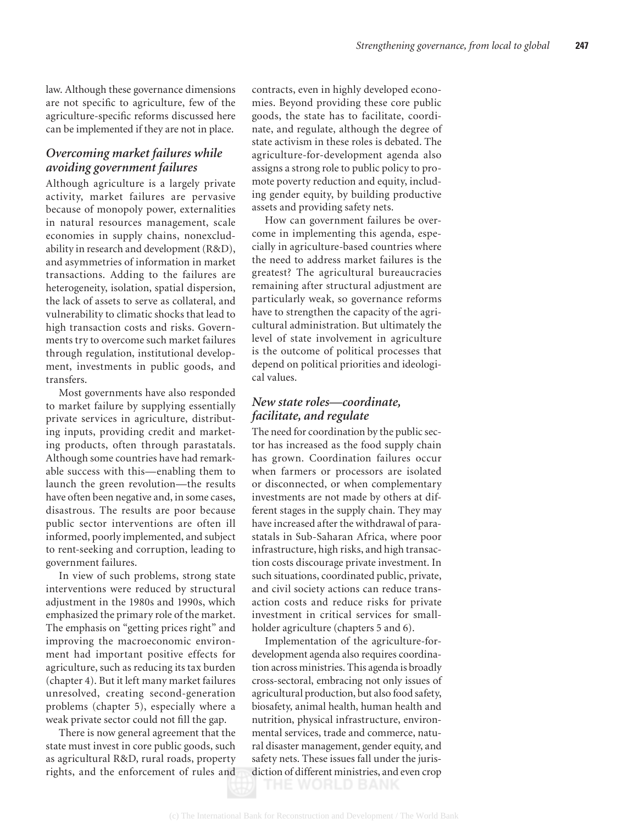law. Although these governance dimensions are not specific to agriculture, few of the agriculture-specific reforms discussed here can be implemented if they are not in place.

## *Overcoming market failures while avoiding government failures*

Although agriculture is a largely private activity, market failures are pervasive because of monopoly power, externalities in natural resources management, scale economies in supply chains, nonexcludability in research and development (R&D), and asymmetries of information in market transactions. Adding to the failures are heterogeneity, isolation, spatial dispersion, the lack of assets to serve as collateral, and vulnerability to climatic shocks that lead to high transaction costs and risks. Governments try to overcome such market failures through regulation, institutional development, investments in public goods, and transfers.

Most governments have also responded to market failure by supplying essentially private services in agriculture, distributing inputs, providing credit and marketing products, often through parastatals. Although some countries have had remarkable success with this—enabling them to launch the green revolution—the results have often been negative and, in some cases, disastrous. The results are poor because public sector interventions are often ill informed, poorly implemented, and subject to rent-seeking and corruption, leading to government failures.

In view of such problems, strong state interventions were reduced by structural adjustment in the 1980s and 1990s, which emphasized the primary role of the market. The emphasis on "getting prices right" and improving the macroeconomic environment had important positive effects for agriculture, such as reducing its tax burden (chapter 4). But it left many market failures unresolved, creating second-generation problems (chapter 5), especially where a weak private sector could not fill the gap.

There is now general agreement that the state must invest in core public goods, such as agricultural R&D, rural roads, property rights, and the enforcement of rules and contracts, even in highly developed economies. Beyond providing these core public goods, the state has to facilitate, coordinate, and regulate, although the degree of state activism in these roles is debated. The agriculture-for-development agenda also assigns a strong role to public policy to promote poverty reduction and equity, including gender equity, by building productive assets and providing safety nets.

How can government failures be overcome in implementing this agenda, especially in agriculture-based countries where the need to address market failures is the greatest? The agricultural bureaucracies remaining after structural adjustment are particularly weak, so governance reforms have to strengthen the capacity of the agricultural administration. But ultimately the level of state involvement in agriculture is the outcome of political processes that depend on political priorities and ideological values.

# *New state roles—coordinate, facilitate, and regulate*

The need for coordination by the public sector has increased as the food supply chain has grown. Coordination failures occur when farmers or processors are isolated or disconnected, or when complementary investments are not made by others at different stages in the supply chain. They may have increased after the withdrawal of parastatals in Sub-Saharan Africa, where poor infrastructure, high risks, and high transaction costs discourage private investment. In such situations, coordinated public, private, and civil society actions can reduce transaction costs and reduce risks for private investment in critical services for smallholder agriculture (chapters 5 and 6).

Implementation of the agriculture-fordevelopment agenda also requires coordination across ministries. This agenda is broadly cross-sectoral, embracing not only issues of agricultural production, but also food safety, biosafety, animal health, human health and nutrition, physical infrastructure, environmental services, trade and commerce, natural disaster management, gender equity, and safety nets. These issues fall under the jurisdiction of different ministries, and even crop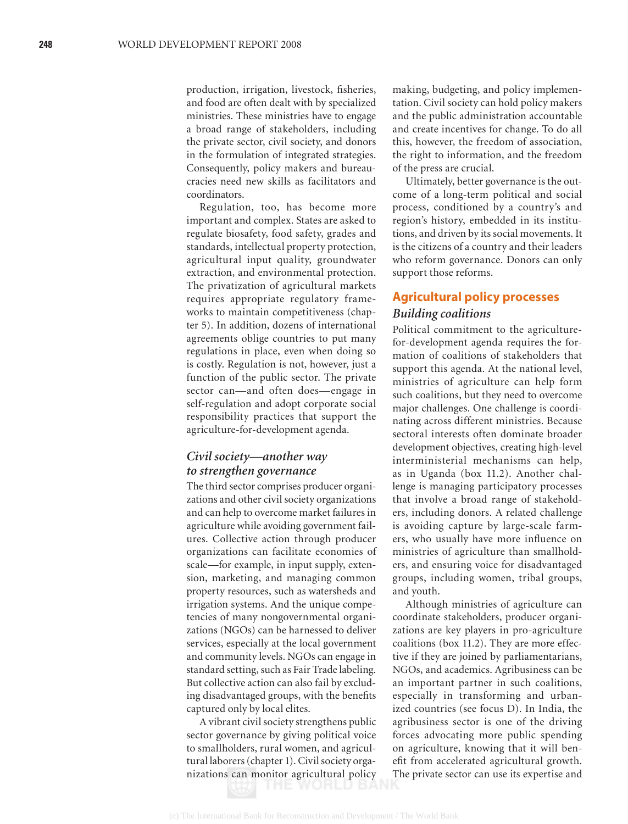production, irrigation, livestock, fisheries, and food are often dealt with by specialized ministries. These ministries have to engage a broad range of stakeholders, including the private sector, civil society, and donors in the formulation of integrated strategies. Consequently, policy makers and bureaucracies need new skills as facilitators and coordinators.

Regulation, too, has become more important and complex. States are asked to regulate biosafety, food safety, grades and standards, intellectual property protection, agricultural input quality, groundwater extraction, and environmental protection. The privatization of agricultural markets requires appropriate regulatory frameworks to maintain competitiveness (chapter 5). In addition, dozens of international agreements oblige countries to put many regulations in place, even when doing so is costly. Regulation is not, however, just a function of the public sector. The private sector can—and often does—engage in self-regulation and adopt corporate social responsibility practices that support the agriculture-for-development agenda.

#### *Civil society—another way to strengthen governance*

The third sector comprises producer organizations and other civil society organizations and can help to overcome market failures in agriculture while avoiding government failures. Collective action through producer organizations can facilitate economies of scale—for example, in input supply, extension, marketing, and managing common property resources, such as watersheds and irrigation systems. And the unique competencies of many nongovernmental organizations (NGOs) can be harnessed to deliver services, especially at the local government and community levels. NGOs can engage in standard setting, such as Fair Trade labeling. But collective action can also fail by excluding disadvantaged groups, with the benefits captured only by local elites.

A vibrant civil society strengthens public sector governance by giving political voice to smallholders, rural women, and agricultural laborers (chapter 1). Civil society organizations can monitor agricultural policy

making, budgeting, and policy implementation. Civil society can hold policy makers and the public administration accountable and create incentives for change. To do all this, however, the freedom of association, the right to information, and the freedom of the press are crucial.

Ultimately, better governance is the outcome of a long-term political and social process, conditioned by a country's and region's history, embedded in its institutions, and driven by its social movements. It is the citizens of a country and their leaders who reform governance. Donors can only support those reforms.

# **Agricultural policy processes** *Building coalitions*

Political commitment to the agriculturefor-development agenda requires the formation of coalitions of stakeholders that support this agenda. At the national level, ministries of agriculture can help form such coalitions, but they need to overcome major challenges. One challenge is coordinating across different ministries. Because sectoral interests often dominate broader development objectives, creating high-level interministerial mechanisms can help, as in Uganda (box 11.2). Another challenge is managing participatory processes that involve a broad range of stakeholders, including donors. A related challenge is avoiding capture by large-scale farmers, who usually have more influence on ministries of agriculture than smallholders, and ensuring voice for disadvantaged groups, including women, tribal groups, and youth.

Although ministries of agriculture can coordinate stakeholders, producer organizations are key players in pro-agriculture coalitions (box 11.2). They are more effective if they are joined by parliamentarians, NGOs, and academics. Agribusiness can be an important partner in such coalitions, especially in transforming and urbanized countries (see focus D). In India, the agribusiness sector is one of the driving forces advocating more public spending on agriculture, knowing that it will benefit from accelerated agricultural growth. The private sector can use its expertise and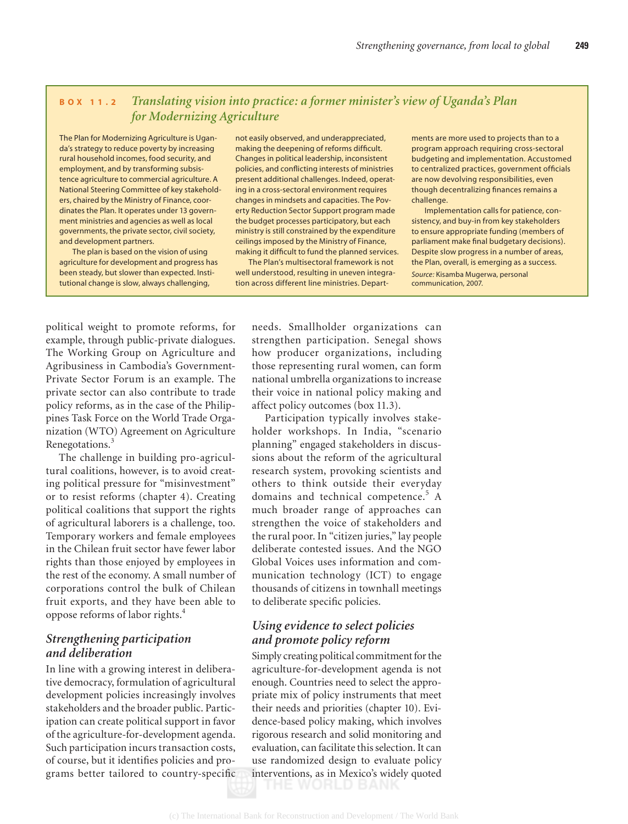## **BOX 11.2** *Translating vision into practice: a former minister's view of Uganda's Plan for Modernizing Agriculture*

The Plan for Modernizing Agriculture is Uganda's strategy to reduce poverty by increasing rural household incomes, food security, and employment, and by transforming subsistence agriculture to commercial agriculture. A National Steering Committee of key stakeholders, chaired by the Ministry of Finance, coordinates the Plan. It operates under 13 government ministries and agencies as well as local governments, the private sector, civil society, and development partners.

The plan is based on the vision of using agriculture for development and progress has been steady, but slower than expected. Institutional change is slow, always challenging,

not easily observed, and underappreciated, making the deepening of reforms difficult. Changes in political leadership, inconsistent policies, and conflicting interests of ministries present additional challenges. Indeed, operating in a cross-sectoral environment requires changes in mindsets and capacities. The Poverty Reduction Sector Support program made the budget processes participatory, but each ministry is still constrained by the expenditure ceilings imposed by the Ministry of Finance, making it difficult to fund the planned services.

The Plan's multisectoral framework is not well understood, resulting in uneven integration across different line ministries. Departments are more used to projects than to a program approach requiring cross-sectoral budgeting and implementation. Accustomed to centralized practices, government officials are now devolving responsibilities, even though decentralizing finances remains a challenge.

Implementation calls for patience, consistency, and buy-in from key stakeholders to ensure appropriate funding (members of parliament make final budgetary decisions). Despite slow progress in a number of areas, the Plan, overall, is emerging as a success. *Source:* Kisamba Mugerwa, personal communication, 2007.

political weight to promote reforms, for example, through public-private dialogues. The Working Group on Agriculture and Agribusiness in Cambodia's Government-Private Sector Forum is an example. The private sector can also contribute to trade policy reforms, as in the case of the Philippines Task Force on the World Trade Organization (WTO) Agreement on Agriculture Renegotations.<sup>3</sup>

The challenge in building pro-agricultural coalitions, however, is to avoid creating political pressure for "misinvestment" or to resist reforms (chapter 4). Creating political coalitions that support the rights of agricultural laborers is a challenge, too. Temporary workers and female employees in the Chilean fruit sector have fewer labor rights than those enjoyed by employees in the rest of the economy. A small number of corporations control the bulk of Chilean fruit exports, and they have been able to oppose reforms of labor rights.4

## *Strengthening participation and deliberation*

In line with a growing interest in deliberative democracy, formulation of agricultural development policies increasingly involves stakeholders and the broader public. Participation can create political support in favor of the agriculture-for-development agenda. Such participation incurs transaction costs, of course, but it identifies policies and programs better tailored to country-specific needs. Smallholder organizations can strengthen participation. Senegal shows how producer organizations, including those representing rural women, can form national umbrella organizations to increase their voice in national policy making and affect policy outcomes (box 11.3).

Participation typically involves stakeholder workshops. In India, "scenario planning" engaged stakeholders in discussions about the reform of the agricultural research system, provoking scientists and others to think outside their everyday domains and technical competence.<sup>5</sup> A much broader range of approaches can strengthen the voice of stakeholders and the rural poor. In "citizen juries," lay people deliberate contested issues. And the NGO Global Voices uses information and communication technology (ICT) to engage thousands of citizens in townhall meetings to deliberate specific policies.

# *Using evidence to select policies and promote policy reform*

Simply creating political commitment for the agriculture-for-development agenda is not enough. Countries need to select the appropriate mix of policy instruments that meet their needs and priorities (chapter 10). Evidence-based policy making, which involves rigorous research and solid monitoring and evaluation, can facilitate this selection. It can use randomized design to evaluate policy interventions, as in Mexico's widely quoted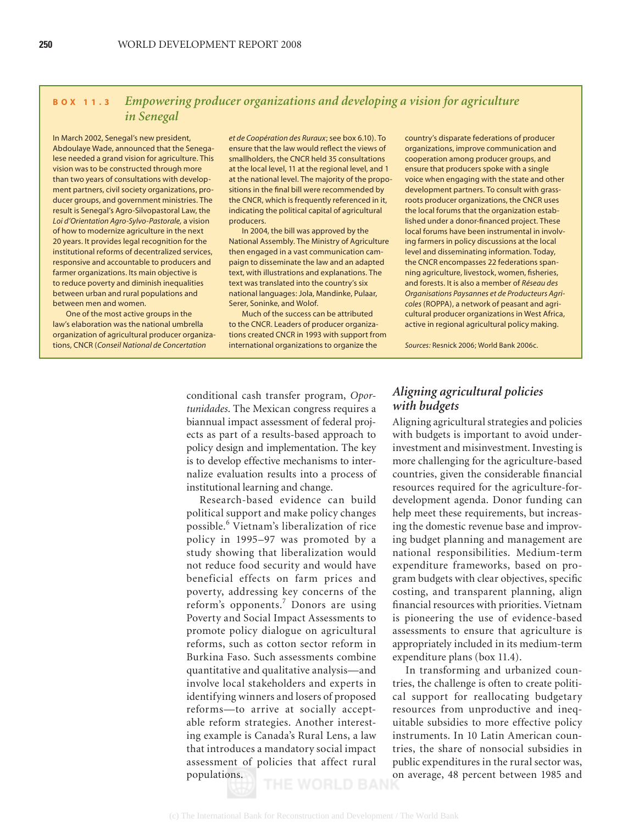#### **BOX 11.3** *Empowering producer organizations and developing a vision for agriculture in Senegal*

In March 2002, Senegal's new president, Abdoulaye Wade, announced that the Senegalese needed a grand vision for agriculture. This vision was to be constructed through more than two years of consultations with development partners, civil society organizations, producer groups, and government ministries. The result is Senegal's Agro-Silvopastoral Law, the *Loi d'Orientation Agro-Sylvo-Pastorale,* a vision of how to modernize agriculture in the next 20 years. It provides legal recognition for the institutional reforms of decentralized services, responsive and accountable to producers and farmer organizations. Its main objective is to reduce poverty and diminish inequalities between urban and rural populations and between men and women.

One of the most active groups in the law's elaboration was the national umbrella organization of agricultural producer organizations, CNCR (*Conseil National de Concertation* 

*et de Coopération des Ruraux*; see box 6.10). To ensure that the law would reflect the views of smallholders, the CNCR held 35 consultations at the local level, 11 at the regional level, and 1 at the national level. The majority of the propositions in the final bill were recommended by the CNCR, which is frequently referenced in it, indicating the political capital of agricultural producers.

In 2004, the bill was approved by the National Assembly. The Ministry of Agriculture then engaged in a vast communication campaign to disseminate the law and an adapted text, with illustrations and explanations. The text was translated into the country's six national languages: Jola, Mandinke, Pulaar, Serer, Soninke, and Wolof.

Much of the success can be attributed to the CNCR. Leaders of producer organizations created CNCR in 1993 with support from international organizations to organize the

country's disparate federations of producer organizations, improve communication and cooperation among producer groups, and ensure that producers spoke with a single voice when engaging with the state and other development partners. To consult with grassroots producer organizations, the CNCR uses the local forums that the organization established under a donor-financed project. These local forums have been instrumental in involving farmers in policy discussions at the local level and disseminating information. Today, the CNCR encompasses 22 federations spanning agriculture, livestock, women, fisheries, and forests. It is also a member of *Réseau des Organisations Paysannes et de Producteurs Agricoles* (ROPPA), a network of peasant and agricultural producer organizations in West Africa, active in regional agricultural policy making.

*Sources:* Resnick 2006; World Bank 2006c.

conditional cash transfer program, *Oportunidades*. The Mexican congress requires a biannual impact assessment of federal projects as part of a results-based approach to policy design and implementation. The key is to develop effective mechanisms to internalize evaluation results into a process of institutional learning and change.

Research-based evidence can build political support and make policy changes possible.<sup>6</sup> Vietnam's liberalization of rice policy in 1995–97 was promoted by a study showing that liberalization would not reduce food security and would have beneficial effects on farm prices and poverty, addressing key concerns of the reform's opponents.<sup>7</sup> Donors are using Poverty and Social Impact Assessments to promote policy dialogue on agricultural reforms, such as cotton sector reform in Burkina Faso. Such assessments combine quantitative and qualitative analysis—and involve local stakeholders and experts in identifying winners and losers of proposed reforms—to arrive at socially acceptable reform strategies. Another interesting example is Canada's Rural Lens, a law that introduces a mandatory social impact assessment of policies that affect rural populations.

## *Aligning agricultural policies with budgets*

Aligning agricultural strategies and policies with budgets is important to avoid underinvestment and misinvestment. Investing is more challenging for the agriculture-based countries, given the considerable financial resources required for the agriculture-fordevelopment agenda. Donor funding can help meet these requirements, but increasing the domestic revenue base and improving budget planning and management are national responsibilities. Medium-term expenditure frameworks, based on program budgets with clear objectives, specific costing, and transparent planning, align financial resources with priorities. Vietnam is pioneering the use of evidence-based assessments to ensure that agriculture is appropriately included in its medium-term expenditure plans (box 11.4).

In transforming and urbanized countries, the challenge is often to create political support for reallocating budgetary resources from unproductive and inequitable subsidies to more effective policy instruments. In 10 Latin American countries, the share of nonsocial subsidies in public expenditures in the rural sector was, **THE WORLD BANK** average, 48 percent between 1985 and

(c) The International Bank for Reconstruction and Development / The World Bank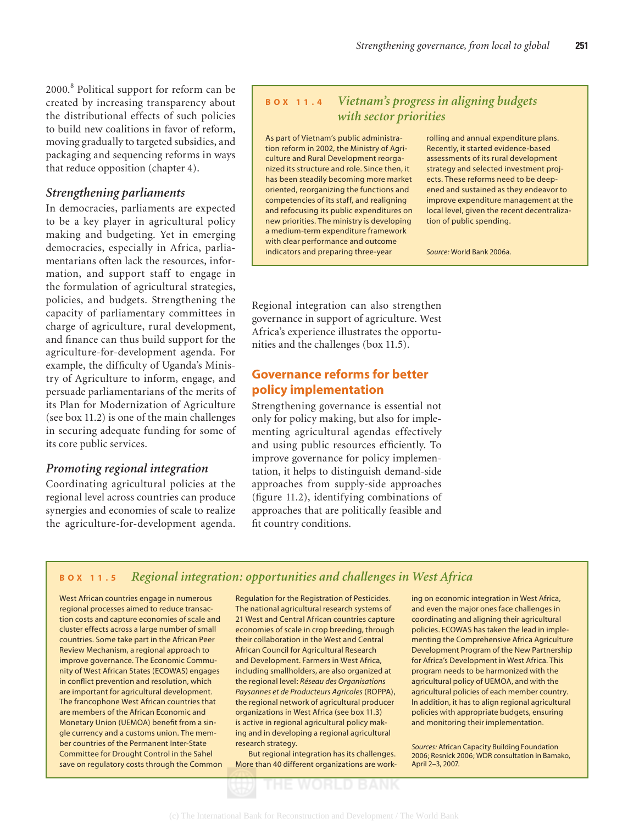2000.<sup>8</sup> Political support for reform can be created by increasing transparency about the distributional effects of such policies to build new coalitions in favor of reform, moving gradually to targeted subsidies, and packaging and sequencing reforms in ways that reduce opposition (chapter 4).

#### *Strengthening parliaments*

In democracies, parliaments are expected to be a key player in agricultural policy making and budgeting. Yet in emerging democracies, especially in Africa, parliamentarians often lack the resources, information, and support staff to engage in the formulation of agricultural strategies, policies, and budgets. Strengthening the capacity of parliamentary committees in charge of agriculture, rural development, and finance can thus build support for the agriculture-for-development agenda. For example, the difficulty of Uganda's Ministry of Agriculture to inform, engage, and persuade parliamentarians of the merits of its Plan for Modernization of Agriculture (see box 11.2) is one of the main challenges in securing adequate funding for some of its core public services.

#### *Promoting regional integration*

Coordinating agricultural policies at the regional level across countries can produce synergies and economies of scale to realize the agriculture-for-development agenda.

#### **BOX 11.4** *Vietnam's progress in aligning budgets with sector priorities*

As part of Vietnam's public administration reform in 2002, the Ministry of Agriculture and Rural Development reorganized its structure and role. Since then, it has been steadily becoming more market oriented, reorganizing the functions and competencies of its staff, and realigning and refocusing its public expenditures on new priorities. The ministry is developing a medium-term expenditure framework with clear performance and outcome indicators and preparing three-year

rolling and annual expenditure plans. Recently, it started evidence-based assessments of its rural development strategy and selected investment projects. These reforms need to be deepened and sustained as they endeavor to improve expenditure management at the local level, given the recent decentralization of public spending.

*Source:* World Bank 2006a.

Regional integration can also strengthen governance in support of agriculture. West Africa's experience illustrates the opportunities and the challenges (box 11.5).

# **Governance reforms for better policy implementation**

Strengthening governance is essential not only for policy making, but also for implementing agricultural agendas effectively and using public resources efficiently. To improve governance for policy implementation, it helps to distinguish demand-side approaches from supply-side approaches (figure 11.2), identifying combinations of approaches that are politically feasible and fit country conditions.

#### **BOX 11.5** *Regional integration: opportunities and challenges in West Africa*

West African countries engage in numerous regional processes aimed to reduce transaction costs and capture economies of scale and cluster effects across a large number of small countries. Some take part in the African Peer Review Mechanism, a regional approach to improve governance. The Economic Community of West African States (ECOWAS) engages in conflict prevention and resolution, which are important for agricultural development. The francophone West African countries that are members of the African Economic and Monetary Union (UEMOA) benefit from a single currency and a customs union. The member countries of the Permanent Inter-State Committee for Drought Control in the Sahel save on regulatory costs through the Common Regulation for the Registration of Pesticides. The national agricultural research systems of 21 West and Central African countries capture economies of scale in crop breeding, through their collaboration in the West and Central African Council for Agricultural Research and Development. Farmers in West Africa, including smallholders, are also organized at the regional level: *Réseau des Organisations Paysannes et de Producteurs Agricoles* (ROPPA), the regional network of agricultural producer organizations in West Africa (see box 11.3) is active in regional agricultural policy making and in developing a regional agricultural research strategy.

But regional integration has its challenges. More than 40 different organizations are working on economic integration in West Africa, and even the major ones face challenges in coordinating and aligning their agricultural policies. ECOWAS has taken the lead in implementing the Comprehensive Africa Agriculture Development Program of the New Partnership for Africa's Development in West Africa. This program needs to be harmonized with the agricultural policy of UEMOA, and with the agricultural policies of each member country. In addition, it has to align regional agricultural policies with appropriate budgets, ensuring and monitoring their implementation.

*Sources:* African Capacity Building Foundation 2006; Resnick 2006; WDR consultation in Bamako, April 2–3, 2007.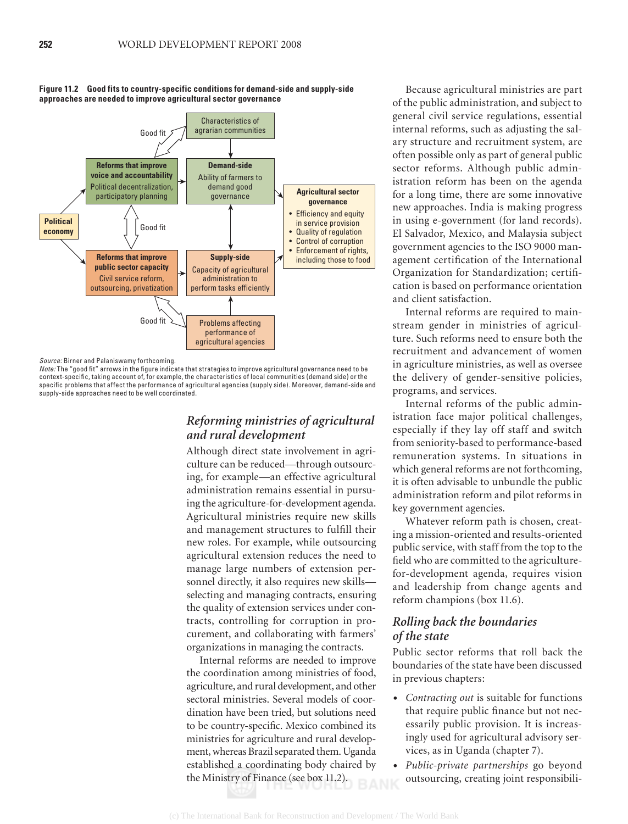

**Figure 11.2 Good fits to country-specific conditions for demand-side and supply-side approaches are needed to improve agricultural sector governance**

Source: Birner and Palaniswamy forthcoming.

Note: The "good fit" arrows in the figure indicate that strategies to improve agricultural governance need to be context-specifi c, taking account of, for example, the characteristics of local communities (demand side) or the specific problems that affect the performance of agricultural agencies (supply side). Moreover, demand-side and supply-side approaches need to be well coordinated.

#### *Reforming ministries of agricultural and rural development*

Although direct state involvement in agriculture can be reduced—through outsourcing, for example—an effective agricultural administration remains essential in pursuing the agriculture-for-development agenda. Agricultural ministries require new skills and management structures to fulfill their new roles. For example, while outsourcing agricultural extension reduces the need to manage large numbers of extension personnel directly, it also requires new skills selecting and managing contracts, ensuring the quality of extension services under contracts, controlling for corruption in procurement, and collaborating with farmers' organizations in managing the contracts.

Internal reforms are needed to improve the coordination among ministries of food, agriculture, and rural development, and other sectoral ministries. Several models of coordination have been tried, but solutions need to be country-specific. Mexico combined its ministries for agriculture and rural development, whereas Brazil separated them. Uganda established a coordinating body chaired by the Ministry of Finance (see box 11.2).

Because agricultural ministries are part of the public administration, and subject to general civil service regulations, essential internal reforms, such as adjusting the salary structure and recruitment system, are often possible only as part of general public sector reforms. Although public administration reform has been on the agenda for a long time, there are some innovative new approaches. India is making progress in using e-government (for land records). El Salvador, Mexico, and Malaysia subject government agencies to the ISO 9000 management certification of the International Organization for Standardization; certification is based on performance orientation and client satisfaction.

Internal reforms are required to mainstream gender in ministries of agriculture. Such reforms need to ensure both the recruitment and advancement of women in agriculture ministries, as well as oversee the delivery of gender-sensitive policies, programs, and services.

Internal reforms of the public administration face major political challenges, especially if they lay off staff and switch from seniority-based to performance-based remuneration systems. In situations in which general reforms are not forthcoming, it is often advisable to unbundle the public administration reform and pilot reforms in key government agencies.

Whatever reform path is chosen, creating a mission-oriented and results-oriented public service, with staff from the top to the field who are committed to the agriculturefor-development agenda, requires vision and leadership from change agents and reform champions (box 11.6).

#### *Rolling back the boundaries of the state*

Public sector reforms that roll back the boundaries of the state have been discussed in previous chapters:

- *• Contracting out* is suitable for functions that require public finance but not necessarily public provision. It is increasingly used for agricultural advisory services, as in Uganda (chapter 7).
- *• Public-private partnerships* go beyond outsourcing, creating joint responsibili-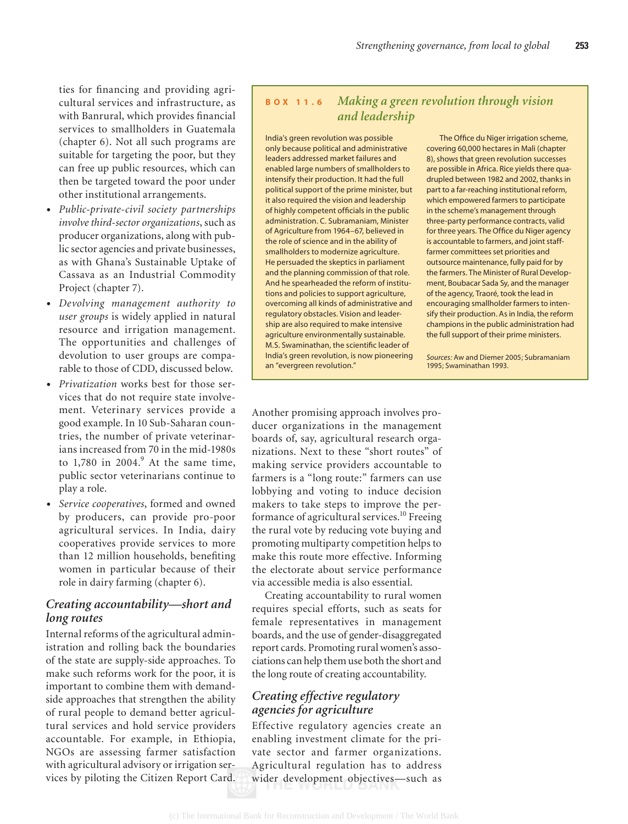ties for financing and providing agricultural services and infrastructure, as with Banrural, which provides financial services to smallholders in Guatemala (chapter 6). Not all such programs are suitable for targeting the poor, but they can free up public resources, which can then be targeted toward the poor under other institutional arrangements.

- *• Public-private-civil society partnerships involve third-sector organizations*, such as producer organizations, along with public sector agencies and private businesses, as with Ghana's Sustainable Uptake of Cassava as an Industrial Commodity Project (chapter 7).
- *• Devolving management authority to user groups* is widely applied in natural resource and irrigation management. The opportunities and challenges of devolution to user groups are comparable to those of CDD, discussed below.
- *• Privatization* works best for those services that do not require state involvement. Veterinary services provide a good example. In 10 Sub-Saharan countries, the number of private veterinarians increased from 70 in the mid-1980s to  $1,780$  in  $2004.<sup>9</sup>$  At the same time, public sector veterinarians continue to play a role.
- *• Service cooperatives*, formed and owned by producers, can provide pro-poor agricultural services. In India, dairy cooperatives provide services to more than 12 million households, benefiting women in particular because of their role in dairy farming (chapter 6).

#### *Creating accountability—short and long routes*

Internal reforms of the agricultural administration and rolling back the boundaries of the state are supply-side approaches. To make such reforms work for the poor, it is important to combine them with demandside approaches that strengthen the ability of rural people to demand better agricultural services and hold service providers accountable. For example, in Ethiopia, NGOs are assessing farmer satisfaction with agricultural advisory or irrigation services by piloting the Citizen Report Card.

#### **BOX 11.6** *Making a green revolution through vision and leadership*

India's green revolution was possible only because political and administrative leaders addressed market failures and enabled large numbers of smallholders to intensify their production. It had the full political support of the prime minister, but it also required the vision and leadership of highly competent officials in the public administration. C. Subramaniam, Minister of Agriculture from 1964–67, believed in the role of science and in the ability of smallholders to modernize agriculture. He persuaded the skeptics in parliament and the planning commission of that role. And he spearheaded the reform of institutions and policies to support agriculture, overcoming all kinds of administrative and regulatory obstacles. Vision and leadership are also required to make intensive agriculture environmentally sustainable. M.S. Swaminathan, the scientific leader of India's green revolution, is now pioneering an "evergreen revolution."

The Office du Niger irrigation scheme, covering 60,000 hectares in Mali (chapter 8), shows that green revolution successes are possible in Africa. Rice yields there quadrupled between 1982 and 2002, thanks in part to a far-reaching institutional reform, which empowered farmers to participate in the scheme's management through three-party performance contracts, valid for three years. The Office du Niger agency is accountable to farmers, and joint stafffarmer committees set priorities and outsource maintenance, fully paid for by the farmers. The Minister of Rural Development, Boubacar Sada Sy, and the manager of the agency, Traoré, took the lead in encouraging smallholder farmers to intensify their production. As in India, the reform champions in the public administration had the full support of their prime ministers.

*Sources:* Aw and Diemer 2005; Subramaniam 1995; Swaminathan 1993.

Another promising approach involves producer organizations in the management boards of, say, agricultural research organizations. Next to these "short routes" of making service providers accountable to farmers is a "long route:" farmers can use lobbying and voting to induce decision makers to take steps to improve the performance of agricultural services.<sup>10</sup> Freeing the rural vote by reducing vote buying and promoting multiparty competition helps to make this route more effective. Informing the electorate about service performance via accessible media is also essential.

Creating accountability to rural women requires special efforts, such as seats for female representatives in management boards, and the use of gender-disaggregated report cards. Promoting rural women's associations can help them use both the short and the long route of creating accountability.

## *Creating effective regulatory agencies for agriculture*

Effective regulatory agencies create an enabling investment climate for the private sector and farmer organizations. Agricultural regulation has to address wider development objectives—such as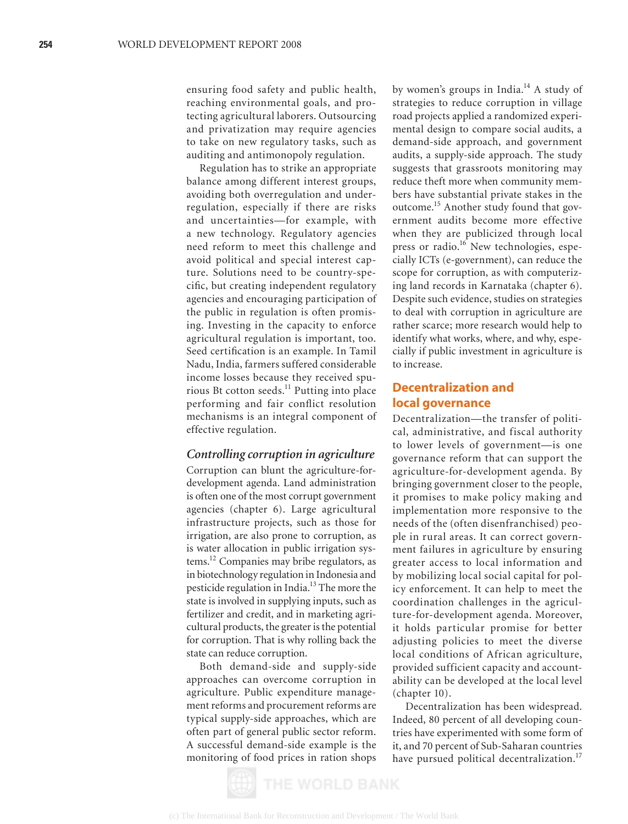ensuring food safety and public health, reaching environmental goals, and protecting agricultural laborers. Outsourcing and privatization may require agencies to take on new regulatory tasks, such as auditing and antimonopoly regulation.

Regulation has to strike an appropriate balance among different interest groups, avoiding both overregulation and underregulation, especially if there are risks and uncertainties—for example, with a new technology. Regulatory agencies need reform to meet this challenge and avoid political and special interest capture. Solutions need to be country-specific, but creating independent regulatory agencies and encouraging participation of the public in regulation is often promising. Investing in the capacity to enforce agricultural regulation is important, too. Seed certification is an example. In Tamil Nadu, India, farmers suffered considerable income losses because they received spurious Bt cotton seeds. $^{11}$  Putting into place performing and fair conflict resolution mechanisms is an integral component of effective regulation.

#### *Controlling corruption in agriculture*

Corruption can blunt the agriculture-fordevelopment agenda. Land administration is often one of the most corrupt government agencies (chapter 6). Large agricultural infrastructure projects, such as those for irrigation, are also prone to corruption, as is water allocation in public irrigation systems.<sup>12</sup> Companies may bribe regulators, as in biotechnology regulation in Indonesia and pesticide regulation in India.<sup>13</sup> The more the state is involved in supplying inputs, such as fertilizer and credit, and in marketing agricultural products, the greater is the potential for corruption. That is why rolling back the state can reduce corruption.

Both demand-side and supply-side approaches can overcome corruption in agriculture. Public expenditure management reforms and procurement reforms are typical supply-side approaches, which are often part of general public sector reform. A successful demand-side example is the monitoring of food prices in ration shops

by women's groups in India. $^{14}$  A study of strategies to reduce corruption in village road projects applied a randomized experimental design to compare social audits, a demand-side approach, and government audits, a supply-side approach. The study suggests that grassroots monitoring may reduce theft more when community members have substantial private stakes in the outcome.15 Another study found that government audits become more effective when they are publicized through local press or radio.<sup>16</sup> New technologies, especially ICTs (e-government), can reduce the scope for corruption, as with computerizing land records in Karnataka (chapter 6). Despite such evidence, studies on strategies to deal with corruption in agriculture are rather scarce; more research would help to identify what works, where, and why, especially if public investment in agriculture is to increase.

#### **Decentralization and local governance**

Decentralization—the transfer of political, administrative, and fiscal authority to lower levels of government—is one governance reform that can support the agriculture-for-development agenda. By bringing government closer to the people, it promises to make policy making and implementation more responsive to the needs of the (often disenfranchised) people in rural areas. It can correct government failures in agriculture by ensuring greater access to local information and by mobilizing local social capital for policy enforcement. It can help to meet the coordination challenges in the agriculture-for-development agenda. Moreover, it holds particular promise for better adjusting policies to meet the diverse local conditions of African agriculture, provided sufficient capacity and accountability can be developed at the local level (chapter 10).

Decentralization has been widespread. Indeed, 80 percent of all developing countries have experimented with some form of it, and 70 percent of Sub-Saharan countries have pursued political decentralization.<sup>17</sup>

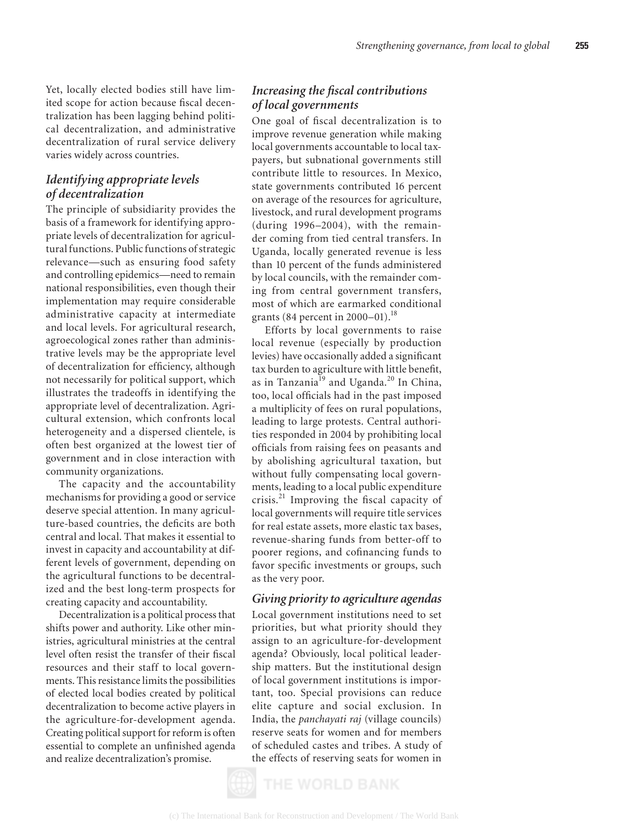Yet, locally elected bodies still have limited scope for action because fiscal decentralization has been lagging behind political decentralization, and administrative decentralization of rural service delivery varies widely across countries.

#### *Identifying appropriate levels of decentralization*

The principle of subsidiarity provides the basis of a framework for identifying appropriate levels of decentralization for agricultural functions. Public functions of strategic relevance—such as ensuring food safety and controlling epidemics—need to remain national responsibilities, even though their implementation may require considerable administrative capacity at intermediate and local levels. For agricultural research, agroecological zones rather than administrative levels may be the appropriate level of decentralization for efficiency, although not necessarily for political support, which illustrates the tradeoffs in identifying the appropriate level of decentralization. Agricultural extension, which confronts local heterogeneity and a dispersed clientele, is often best organized at the lowest tier of government and in close interaction with community organizations.

The capacity and the accountability mechanisms for providing a good or service deserve special attention. In many agriculture-based countries, the deficits are both central and local. That makes it essential to invest in capacity and accountability at different levels of government, depending on the agricultural functions to be decentralized and the best long-term prospects for creating capacity and accountability.

Decentralization is a political process that shifts power and authority. Like other ministries, agricultural ministries at the central level often resist the transfer of their fiscal resources and their staff to local governments. This resistance limits the possibilities of elected local bodies created by political decentralization to become active players in the agriculture-for-development agenda. Creating political support for reform is often essential to complete an unfinished agenda and realize decentralization's promise.

#### *Increasing the fi scal contributions of local governments*

One goal of fiscal decentralization is to improve revenue generation while making local governments accountable to local taxpayers, but subnational governments still contribute little to resources. In Mexico, state governments contributed 16 percent on average of the resources for agriculture, livestock, and rural development programs (during 1996–2004), with the remainder coming from tied central transfers. In Uganda, locally generated revenue is less than 10 percent of the funds administered by local councils, with the remainder coming from central government transfers, most of which are earmarked conditional grants (84 percent in 2000–01).<sup>18</sup>

Efforts by local governments to raise local revenue (especially by production levies) have occasionally added a significant tax burden to agriculture with little benefit, as in Tanzania<sup>19</sup> and Uganda.<sup>20</sup> In China, too, local officials had in the past imposed a multiplicity of fees on rural populations, leading to large protests. Central authorities responded in 2004 by prohibiting local officials from raising fees on peasants and by abolishing agricultural taxation, but without fully compensating local governments, leading to a local public expenditure crisis.<sup>21</sup> Improving the fiscal capacity of local governments will require title services for real estate assets, more elastic tax bases, revenue-sharing funds from better-off to poorer regions, and cofinancing funds to favor specific investments or groups, such as the very poor.

#### *Giving priority to agriculture agendas*

Local government institutions need to set priorities, but what priority should they assign to an agriculture-for-development agenda? Obviously, local political leadership matters. But the institutional design of local government institutions is important, too. Special provisions can reduce elite capture and social exclusion. In India, the *panchayati raj* (village councils) reserve seats for women and for members of scheduled castes and tribes. A study of the effects of reserving seats for women in

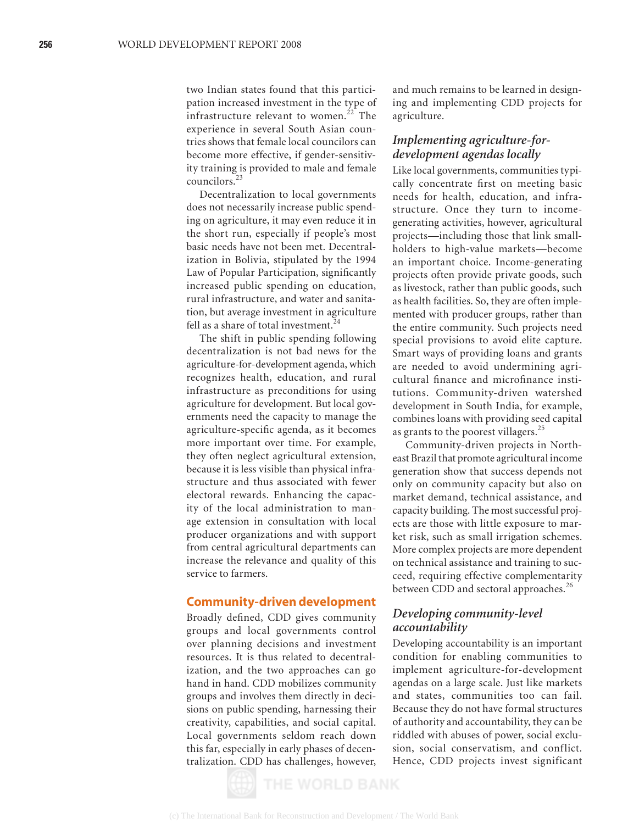two Indian states found that this participation increased investment in the type of infrastructure relevant to women.<sup>22</sup> The experience in several South Asian countries shows that female local councilors can become more effective, if gender-sensitivity training is provided to male and female councilors.<sup>23</sup>

Decentralization to local governments does not necessarily increase public spending on agriculture, it may even reduce it in the short run, especially if people's most basic needs have not been met. Decentralization in Bolivia, stipulated by the 1994 Law of Popular Participation, significantly increased public spending on education, rural infrastructure, and water and sanitation, but average investment in agriculture fell as a share of total investment.<sup>24</sup>

The shift in public spending following decentralization is not bad news for the agriculture-for-development agenda, which recognizes health, education, and rural infrastructure as preconditions for using agriculture for development. But local governments need the capacity to manage the agriculture-specific agenda, as it becomes more important over time. For example, they often neglect agricultural extension, because it is less visible than physical infrastructure and thus associated with fewer electoral rewards. Enhancing the capacity of the local administration to manage extension in consultation with local producer organizations and with support from central agricultural departments can increase the relevance and quality of this service to farmers.

#### **Community-driven development**

Broadly defined, CDD gives community groups and local governments control over planning decisions and investment resources. It is thus related to decentralization, and the two approaches can go hand in hand. CDD mobilizes community groups and involves them directly in decisions on public spending, harnessing their creativity, capabilities, and social capital. Local governments seldom reach down this far, especially in early phases of decentralization. CDD has challenges, however, and much remains to be learned in designing and implementing CDD projects for agriculture.

#### *Implementing agriculture-fordevelopment agendas locally*

Like local governments, communities typically concentrate first on meeting basic needs for health, education, and infrastructure. Once they turn to incomegenerating activities, however, agricultural projects—including those that link smallholders to high-value markets—become an important choice. Income-generating projects often provide private goods, such as livestock, rather than public goods, such as health facilities. So, they are often implemented with producer groups, rather than the entire community. Such projects need special provisions to avoid elite capture. Smart ways of providing loans and grants are needed to avoid undermining agricultural finance and microfinance institutions. Community-driven watershed development in South India, for example, combines loans with providing seed capital as grants to the poorest villagers.<sup>25</sup>

Community-driven projects in Northeast Brazil that promote agricultural income generation show that success depends not only on community capacity but also on market demand, technical assistance, and capacity building. The most successful projects are those with little exposure to market risk, such as small irrigation schemes. More complex projects are more dependent on technical assistance and training to succeed, requiring effective complementarity between CDD and sectoral approaches.<sup>26</sup>

#### *Developing community-level accountability*

Developing accountability is an important condition for enabling communities to implement agriculture-for-development agendas on a large scale. Just like markets and states, communities too can fail. Because they do not have formal structures of authority and accountability, they can be riddled with abuses of power, social exclusion, social conservatism, and conflict. Hence, CDD projects invest significant

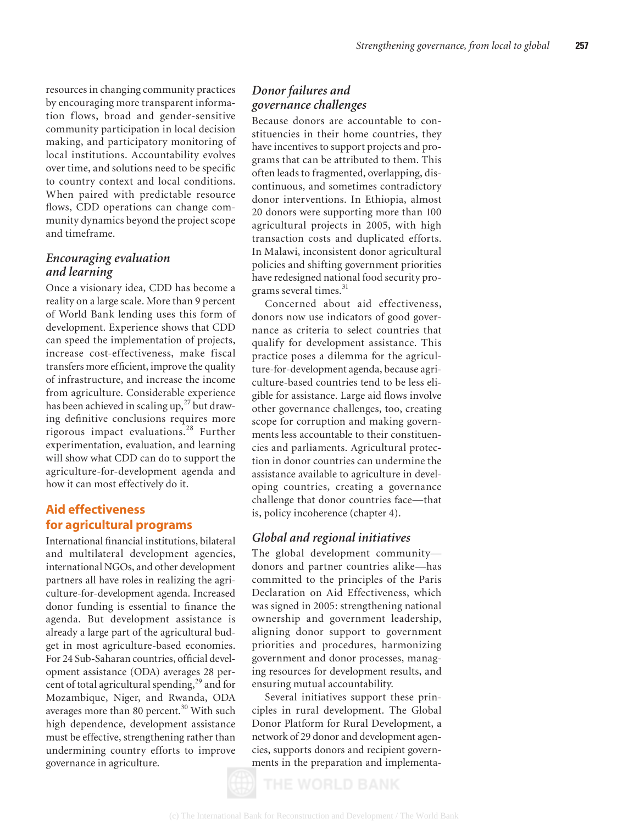resources in changing community practices by encouraging more transparent information flows, broad and gender-sensitive community participation in local decision making, and participatory monitoring of local institutions. Accountability evolves over time, and solutions need to be specific to country context and local conditions. When paired with predictable resource flows, CDD operations can change community dynamics beyond the project scope and timeframe.

#### *Encouraging evaluation and learning*

Once a visionary idea, CDD has become a reality on a large scale. More than 9 percent of World Bank lending uses this form of development. Experience shows that CDD can speed the implementation of projects, increase cost-effectiveness, make fiscal transfers more efficient, improve the quality of infrastructure, and increase the income from agriculture. Considerable experience has been achieved in scaling up,<sup>27</sup> but drawing definitive conclusions requires more rigorous impact evaluations.<sup>28</sup> Further experimentation, evaluation, and learning will show what CDD can do to support the agriculture-for-development agenda and how it can most effectively do it.

# **Aid effectiveness for agricultural programs**

International financial institutions, bilateral and multilateral development agencies, international NGOs, and other development partners all have roles in realizing the agriculture-for-development agenda. Increased donor funding is essential to finance the agenda. But development assistance is already a large part of the agricultural budget in most agriculture-based economies. For 24 Sub-Saharan countries, official development assistance (ODA) averages 28 percent of total agricultural spending, $^{29}$  and for Mozambique, Niger, and Rwanda, ODA averages more than 80 percent.<sup>30</sup> With such high dependence, development assistance must be effective, strengthening rather than undermining country efforts to improve governance in agriculture.

### *Donor failures and governance challenges*

Because donors are accountable to constituencies in their home countries, they have incentives to support projects and programs that can be attributed to them. This often leads to fragmented, overlapping, discontinuous, and sometimes contradictory donor interventions. In Ethiopia, almost 20 donors were supporting more than 100 agricultural projects in 2005, with high transaction costs and duplicated efforts. In Malawi, inconsistent donor agricultural policies and shifting government priorities have redesigned national food security programs several times.<sup>31</sup>

Concerned about aid effectiveness, donors now use indicators of good governance as criteria to select countries that qualify for development assistance. This practice poses a dilemma for the agriculture-for-development agenda, because agriculture-based countries tend to be less eligible for assistance. Large aid flows involve other governance challenges, too, creating scope for corruption and making governments less accountable to their constituencies and parliaments. Agricultural protection in donor countries can undermine the assistance available to agriculture in developing countries, creating a governance challenge that donor countries face—that is, policy incoherence (chapter 4).

#### *Global and regional initiatives*

The global development community donors and partner countries alike—has committed to the principles of the Paris Declaration on Aid Effectiveness, which was signed in 2005: strengthening national ownership and government leadership, aligning donor support to government priorities and procedures, harmonizing government and donor processes, managing resources for development results, and ensuring mutual accountability.

Several initiatives support these principles in rural development. The Global Donor Platform for Rural Development, a network of 29 donor and development agencies, supports donors and recipient governments in the preparation and implementa-

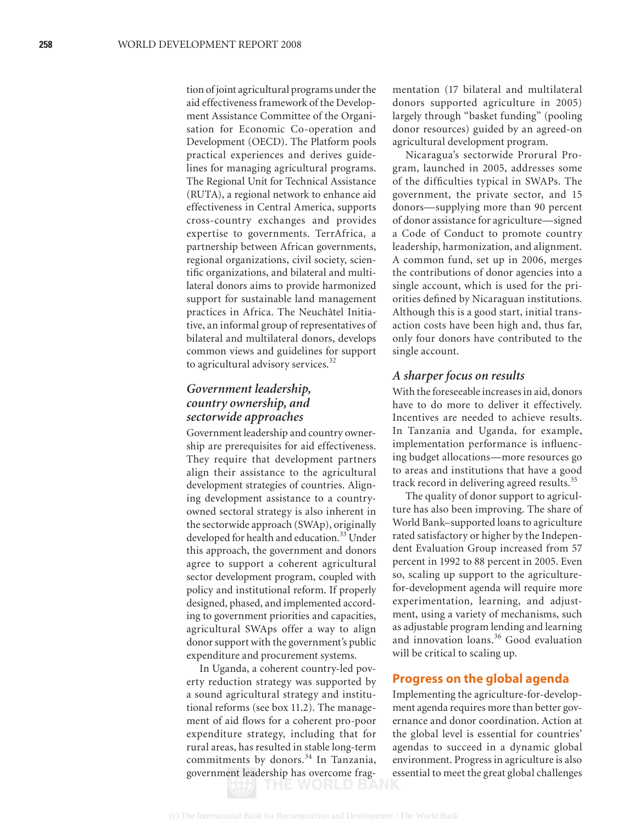tion of joint agricultural programs under the aid effectiveness framework of the Development Assistance Committee of the Organisation for Economic Co-operation and Development (OECD). The Platform pools practical experiences and derives guidelines for managing agricultural programs. The Regional Unit for Technical Assistance (RUTA), a regional network to enhance aid effectiveness in Central America, supports cross-country exchanges and provides expertise to governments. TerrAfrica, a partnership between African governments, regional organizations, civil society, scientific organizations, and bilateral and multilateral donors aims to provide harmonized support for sustainable land management practices in Africa. The Neuchâtel Initiative, an informal group of representatives of bilateral and multilateral donors, develops common views and guidelines for support to agricultural advisory services.<sup>32</sup>

## *Government leadership, country ownership, and sectorwide approaches*

Government leadership and country ownership are prerequisites for aid effectiveness. They require that development partners align their assistance to the agricultural development strategies of countries. Aligning development assistance to a countryowned sectoral strategy is also inherent in the sectorwide approach (SWAp), originally developed for health and education.<sup>33</sup> Under this approach, the government and donors agree to support a coherent agricultural sector development program, coupled with policy and institutional reform. If properly designed, phased, and implemented according to government priorities and capacities, agricultural SWAps offer a way to align donor support with the government's public expenditure and procurement systems.

In Uganda, a coherent country-led poverty reduction strategy was supported by a sound agricultural strategy and institutional reforms (see box 11.2). The management of aid flows for a coherent pro-poor expenditure strategy, including that for rural areas, has resulted in stable long-term commitments by donors. $34$  In Tanzania, government leadership has overcome fragmentation (17 bilateral and multilateral donors supported agriculture in 2005) largely through "basket funding" (pooling donor resources) guided by an agreed-on agricultural development program.

Nicaragua's sectorwide Prorural Program, launched in 2005, addresses some of the difficulties typical in SWAPs. The government, the private sector, and 15 donors—supplying more than 90 percent of donor assistance for agriculture—signed a Code of Conduct to promote country leadership, harmonization, and alignment. A common fund, set up in 2006, merges the contributions of donor agencies into a single account, which is used for the priorities defined by Nicaraguan institutions. Although this is a good start, initial transaction costs have been high and, thus far, only four donors have contributed to the single account.

#### *A sharper focus on results*

With the foreseeable increases in aid, donors have to do more to deliver it effectively. Incentives are needed to achieve results. In Tanzania and Uganda, for example, implementation performance is influencing budget allocations—more resources go to areas and institutions that have a good track record in delivering agreed results.<sup>35</sup>

The quality of donor support to agriculture has also been improving. The share of World Bank–supported loans to agriculture rated satisfactory or higher by the Independent Evaluation Group increased from 57 percent in 1992 to 88 percent in 2005. Even so, scaling up support to the agriculturefor-development agenda will require more experimentation, learning, and adjustment, using a variety of mechanisms, such as adjustable program lending and learning and innovation loans.<sup>36</sup> Good evaluation will be critical to scaling up.

#### **Progress on the global agenda**

Implementing the agriculture-for-development agenda requires more than better governance and donor coordination. Action at the global level is essential for countries' agendas to succeed in a dynamic global environment. Progress in agriculture is also essential to meet the great global challenges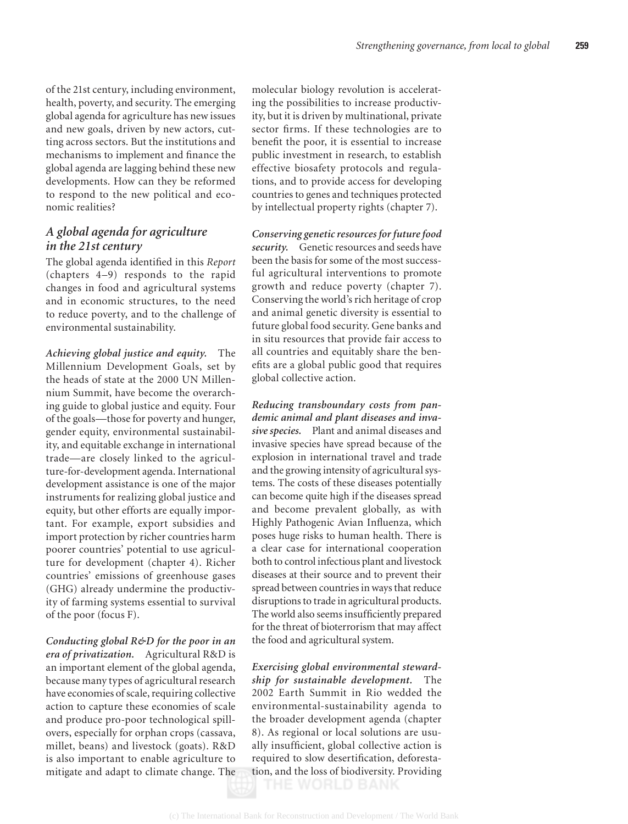of the 21st century, including environment, health, poverty, and security. The emerging global agenda for agriculture has new issues and new goals, driven by new actors, cutting across sectors. But the institutions and mechanisms to implement and finance the global agenda are lagging behind these new developments. How can they be reformed to respond to the new political and economic realities?

#### *A global agenda for agriculture in the 21st century*

The global agenda identified in this *Report* (chapters 4–9) responds to the rapid changes in food and agricultural systems and in economic structures, to the need to reduce poverty, and to the challenge of environmental sustainability.

*Achieving global justice and equity.* The Millennium Development Goals, set by the heads of state at the 2000 UN Millennium Summit, have become the overarching guide to global justice and equity. Four of the goals—those for poverty and hunger, gender equity, environmental sustainability, and equitable exchange in international trade—are closely linked to the agriculture-for-development agenda. International development assistance is one of the major instruments for realizing global justice and equity, but other efforts are equally important. For example, export subsidies and import protection by richer countries harm poorer countries' potential to use agriculture for development (chapter 4). Richer countries' emissions of greenhouse gases (GHG) already undermine the productivity of farming systems essential to survival of the poor (focus F).

*Conducting global R&D for the poor in an era of privatization.* Agricultural R&D is an important element of the global agenda, because many types of agricultural research have economies of scale, requiring collective action to capture these economies of scale and produce pro-poor technological spillovers, especially for orphan crops (cassava, millet, beans) and livestock (goats). R&D is also important to enable agriculture to mitigate and adapt to climate change. The

molecular biology revolution is accelerating the possibilities to increase productivity, but it is driven by multinational, private sector firms. If these technologies are to benefit the poor, it is essential to increase public investment in research, to establish effective biosafety protocols and regulations, and to provide access for developing countries to genes and techniques protected by intellectual property rights (chapter 7).

*Conserving genetic resources for future food security.* Genetic resources and seeds have been the basis for some of the most successful agricultural interventions to promote growth and reduce poverty (chapter 7). Conserving the world's rich heritage of crop and animal genetic diversity is essential to future global food security. Gene banks and in situ resources that provide fair access to all countries and equitably share the benefits are a global public good that requires global collective action.

*Reducing transboundary costs from pandemic animal and plant diseases and invasive species.* Plant and animal diseases and invasive species have spread because of the explosion in international travel and trade and the growing intensity of agricultural systems. The costs of these diseases potentially can become quite high if the diseases spread and become prevalent globally, as with Highly Pathogenic Avian Influenza, which poses huge risks to human health. There is a clear case for international cooperation both to control infectious plant and livestock diseases at their source and to prevent their spread between countries in ways that reduce disruptions to trade in agricultural products. The world also seems insufficiently prepared for the threat of bioterrorism that may affect the food and agricultural system.

*Exercising global environmental stewardship for sustainable development.* The 2002 Earth Summit in Rio wedded the environmental-sustainability agenda to the broader development agenda (chapter 8). As regional or local solutions are usually insufficient, global collective action is required to slow desertification, deforestation, and the loss of biodiversity. Providing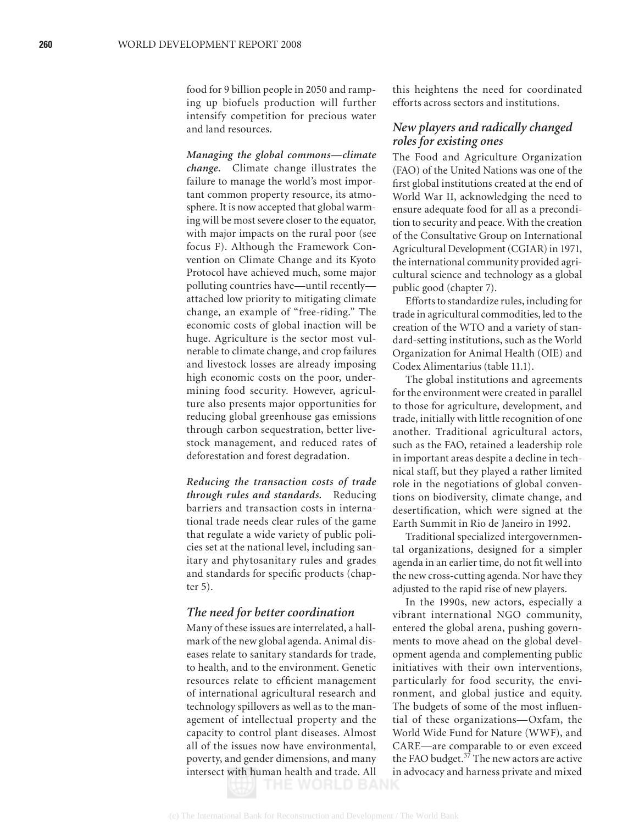food for 9 billion people in 2050 and ramping up biofuels production will further intensify competition for precious water and land resources.

*Managing the global commons—climate change.* Climate change illustrates the failure to manage the world's most important common property resource, its atmosphere. It is now accepted that global warming will be most severe closer to the equator, with major impacts on the rural poor (see focus F). Although the Framework Convention on Climate Change and its Kyoto Protocol have achieved much, some major polluting countries have—until recently attached low priority to mitigating climate change, an example of "free-riding." The economic costs of global inaction will be huge. Agriculture is the sector most vulnerable to climate change, and crop failures and livestock losses are already imposing high economic costs on the poor, undermining food security. However, agriculture also presents major opportunities for reducing global greenhouse gas emissions through carbon sequestration, better livestock management, and reduced rates of deforestation and forest degradation.

*Reducing the transaction costs of trade through rules and standards.* Reducing barriers and transaction costs in international trade needs clear rules of the game that regulate a wide variety of public policies set at the national level, including sanitary and phytosanitary rules and grades and standards for specific products (chapter 5).

#### *The need for better coordination*

Many of these issues are interrelated, a hallmark of the new global agenda. Animal diseases relate to sanitary standards for trade, to health, and to the environment. Genetic resources relate to efficient management of international agricultural research and technology spillovers as well as to the management of intellectual property and the capacity to control plant diseases. Almost all of the issues now have environmental, poverty, and gender dimensions, and many intersect with human health and trade. All

this heightens the need for coordinated efforts across sectors and institutions.

#### *New players and radically changed roles for existing ones*

The Food and Agriculture Organization (FAO) of the United Nations was one of the first global institutions created at the end of World War II, acknowledging the need to ensure adequate food for all as a precondition to security and peace. With the creation of the Consultative Group on International Agricultural Development (CGIAR) in 1971, the international community provided agricultural science and technology as a global public good (chapter 7).

Efforts to standardize rules, including for trade in agricultural commodities, led to the creation of the WTO and a variety of standard-setting institutions, such as the World Organization for Animal Health (OIE) and Codex Alimentarius (table 11.1).

The global institutions and agreements for the environment were created in parallel to those for agriculture, development, and trade, initially with little recognition of one another. Traditional agricultural actors, such as the FAO, retained a leadership role in important areas despite a decline in technical staff, but they played a rather limited role in the negotiations of global conventions on biodiversity, climate change, and desertification, which were signed at the Earth Summit in Rio de Janeiro in 1992.

Traditional specialized intergovernmental organizations, designed for a simpler agenda in an earlier time, do not fit well into the new cross-cutting agenda. Nor have they adjusted to the rapid rise of new players.

In the 1990s, new actors, especially a vibrant international NGO community, entered the global arena, pushing governments to move ahead on the global development agenda and complementing public initiatives with their own interventions, particularly for food security, the environment, and global justice and equity. The budgets of some of the most influential of these organizations—Oxfam, the World Wide Fund for Nature (WWF), and CARE—are comparable to or even exceed the FAO budget.<sup>37</sup> The new actors are active in advocacy and harness private and mixed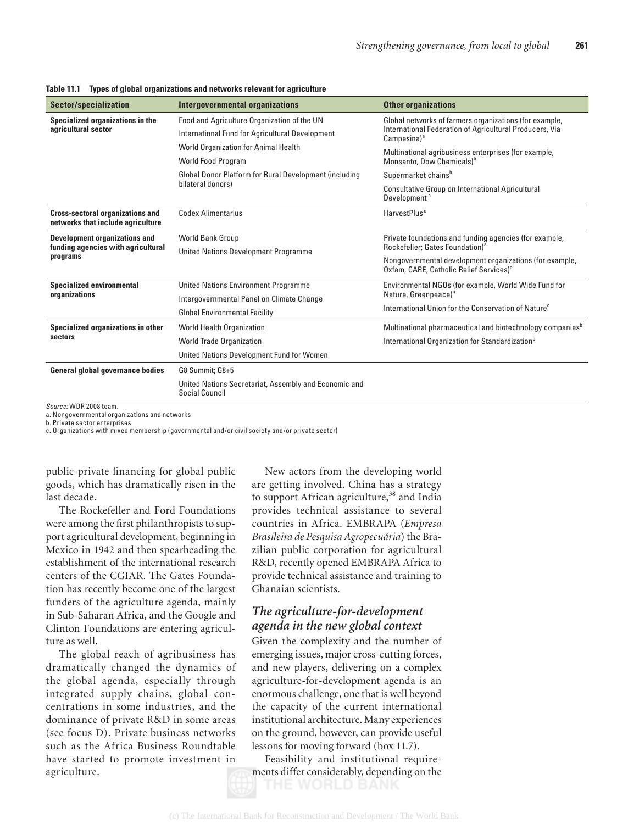| <b>Sector/specialization</b>                                                           | Intergovernmental organizations                                                                                                                                                                                                                                  | <b>Other organizations</b>                                                                                                                                                                                                                                                                                                                                       |
|----------------------------------------------------------------------------------------|------------------------------------------------------------------------------------------------------------------------------------------------------------------------------------------------------------------------------------------------------------------|------------------------------------------------------------------------------------------------------------------------------------------------------------------------------------------------------------------------------------------------------------------------------------------------------------------------------------------------------------------|
| Specialized organizations in the<br>agricultural sector                                | Food and Agriculture Organization of the UN<br>International Fund for Agricultural Development<br><b>World Organization for Animal Health</b><br><b>World Food Program</b><br><b>Global Donor Platform for Rural Development (including</b><br>bilateral donors) | Global networks of farmers organizations (for example,<br>International Federation of Agricultural Producers, Via<br>Campesina) <sup>a</sup><br>Multinational agribusiness enterprises (for example,<br>Monsanto, Dow Chemicals) <sup>b</sup><br>Supermarket chains <sup>b</sup><br>Consultative Group on International Agricultural<br>Development <sup>c</sup> |
| <b>Cross-sectoral organizations and</b><br>networks that include agriculture           | <b>Codex Alimentarius</b>                                                                                                                                                                                                                                        | HarvestPlus <sup>c</sup>                                                                                                                                                                                                                                                                                                                                         |
| <b>Development organizations and</b><br>funding agencies with agricultural<br>programs | <b>World Bank Group</b><br>United Nations Development Programme                                                                                                                                                                                                  | Private foundations and funding agencies (for example,<br>Rockefeller; Gates Foundation) <sup>a</sup><br>Nongovernmental development organizations (for example,<br>Oxfam, CARE, Catholic Relief Services) <sup>a</sup>                                                                                                                                          |
| <b>Specialized environmental</b><br>organizations                                      | <b>United Nations Environment Programme</b><br>Intergovernmental Panel on Climate Change<br><b>Global Environmental Facility</b>                                                                                                                                 | Environmental NGOs (for example, World Wide Fund for<br>Nature, Greenpeace) <sup>a</sup><br>International Union for the Conservation of Nature <sup>c</sup>                                                                                                                                                                                                      |
| Specialized organizations in other<br>sectors                                          | <b>World Health Organization</b><br><b>World Trade Organization</b><br>United Nations Development Fund for Women                                                                                                                                                 | Multinational pharmaceutical and biotechnology companies <sup>b</sup><br>International Organization for Standardization <sup>c</sup>                                                                                                                                                                                                                             |
| General global governance bodies                                                       | G8 Summit; G8+5<br>United Nations Secretariat, Assembly and Economic and<br>Social Council                                                                                                                                                                       |                                                                                                                                                                                                                                                                                                                                                                  |

**Table 11.1 Types of global organizations and networks relevant for agriculture**

Source: WDR 2008 team.

a. Nongovernmental organizations and networks

b. Private sector enterprises

c. Organizations with mixed membership (governmental and/or civil society and/or private sector)

public-private financing for global public goods, which has dramatically risen in the last decade.

The Rockefeller and Ford Foundations were among the first philanthropists to support agricultural development, beginning in Mexico in 1942 and then spearheading the establishment of the international research centers of the CGIAR. The Gates Foundation has recently become one of the largest funders of the agriculture agenda, mainly in Sub-Saharan Africa, and the Google and Clinton Foundations are entering agriculture as well.

The global reach of agribusiness has dramatically changed the dynamics of the global agenda, especially through integrated supply chains, global concentrations in some industries, and the dominance of private R&D in some areas (see focus D). Private business networks such as the Africa Business Roundtable have started to promote investment in agriculture.

New actors from the developing world are getting involved. China has a strategy to support African agriculture, $38$  and India provides technical assistance to several countries in Africa. EMBRAPA (*Empresa Brasileira de Pesquisa Agropecuária*) the Brazilian public corporation for agricultural R&D, recently opened EMBRAPA Africa to provide technical assistance and training to Ghanaian scientists.

#### *The agriculture-for-development agenda in the new global context*

Given the complexity and the number of emerging issues, major cross-cutting forces, and new players, delivering on a complex agriculture-for-development agenda is an enormous challenge, one that is well beyond the capacity of the current international institutional architecture. Many experiences on the ground, however, can provide useful lessons for moving forward (box 11.7).

Feasibility and institutional requirements differ considerably, depending on the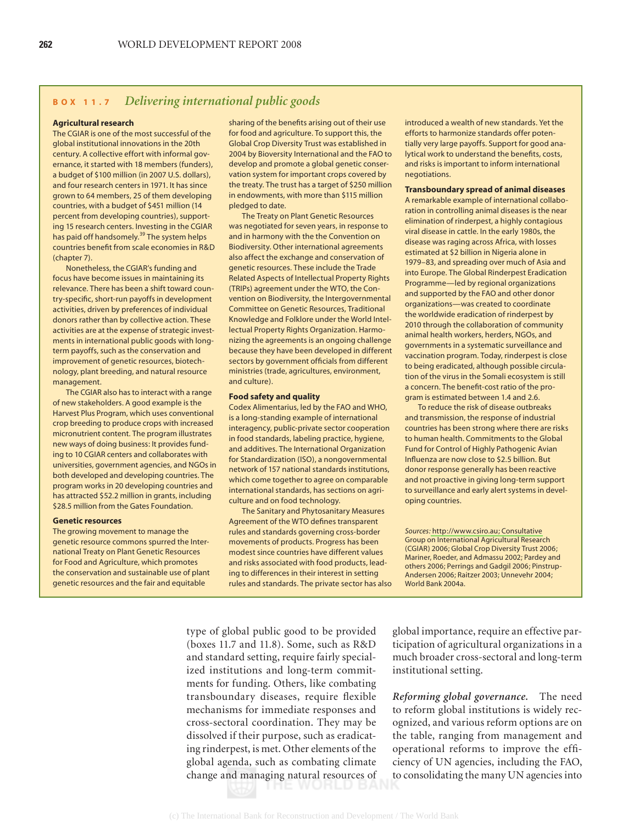#### **BOX 11.7** *Delivering international public goods*

#### **Agricultural research**

The CGIAR is one of the most successful of the global institutional innovations in the 20th century. A collective effort with informal governance, it started with 18 members (funders), a budget of \$100 million (in 2007 U.S. dollars), and four research centers in 1971. It has since grown to 64 members, 25 of them developing countries, with a budget of \$451 million (14 percent from developing countries), supporting 15 research centers. Investing in the CGIAR has paid off handsomely.<sup>39</sup> The system helps countries benefit from scale economies in R&D (chapter 7).

Nonetheless, the CGIAR's funding and focus have become issues in maintaining its relevance. There has been a shift toward country-specific, short-run payoffs in development activities, driven by preferences of individual donors rather than by collective action. These activities are at the expense of strategic investments in international public goods with longterm payoffs, such as the conservation and improvement of genetic resources, biotechnology, plant breeding, and natural resource management.

The CGIAR also has to interact with a range of new stakeholders. A good example is the Harvest Plus Program, which uses conventional crop breeding to produce crops with increased micronutrient content. The program illustrates new ways of doing business: It provides funding to 10 CGIAR centers and collaborates with universities, government agencies, and NGOs in both developed and developing countries. The program works in 20 developing countries and has attracted \$52.2 million in grants, including \$28.5 million from the Gates Foundation.

#### **Genetic resources**

The growing movement to manage the genetic resource commons spurred the International Treaty on Plant Genetic Resources for Food and Agriculture, which promotes the conservation and sustainable use of plant genetic resources and the fair and equitable

sharing of the benefits arising out of their use for food and agriculture. To support this, the Global Crop Diversity Trust was established in 2004 by Bioversity International and the FAO to develop and promote a global genetic conservation system for important crops covered by the treaty. The trust has a target of \$250 million in endowments, with more than \$115 million pledged to date.

The Treaty on Plant Genetic Resources was negotiated for seven years, in response to and in harmony with the the Convention on Biodiversity. Other international agreements also affect the exchange and conservation of genetic resources. These include the Trade Related Aspects of Intellectual Property Rights (TRIPs) agreement under the WTO, the Convention on Biodiversity, the Intergovernmental Committee on Genetic Resources, Traditional Knowledge and Folklore under the World Intellectual Property Rights Organization. Harmonizing the agreements is an ongoing challenge because they have been developed in different sectors by government officials from different ministries (trade, agricultures, environment, and culture).

#### **Food safety and quality**

Codex Alimentarius, led by the FAO and WHO, is a long-standing example of international interagency, public-private sector cooperation in food standards, labeling practice, hygiene, and additives. The International Organization for Standardization (ISO), a nongovernmental network of 157 national standards institutions, which come together to agree on comparable international standards, has sections on agriculture and on food technology.

The Sanitary and Phytosanitary Measures Agreement of the WTO defines transparent rules and standards governing cross-border movements of products. Progress has been modest since countries have different values and risks associated with food products, leading to differences in their interest in setting rules and standards. The private sector has also introduced a wealth of new standards. Yet the efforts to harmonize standards offer potentially very large payoffs. Support for good analytical work to understand the benefits, costs, and risks is important to inform international negotiations.

**Transboundary spread of animal diseases** A remarkable example of international collaboration in controlling animal diseases is the near elimination of rinderpest, a highly contagious viral disease in cattle. In the early 1980s, the disease was raging across Africa, with losses estimated at \$2 billion in Nigeria alone in 1979–83, and spreading over much of Asia and into Europe. The Global Rinderpest Eradication Programme—led by regional organizations and supported by the FAO and other donor organizations—was created to coordinate the worldwide eradication of rinderpest by 2010 through the collaboration of community animal health workers, herders, NGOs, and governments in a systematic surveillance and vaccination program. Today, rinderpest is close to being eradicated, although possible circulation of the virus in the Somali ecosystem is still a concern. The benefit-cost ratio of the program is estimated between 1.4 and 2.6.

To reduce the risk of disease outbreaks and transmission, the response of industrial countries has been strong where there are risks to human health. Commitments to the Global Fund for Control of Highly Pathogenic Avian Influenza are now close to \$2.5 billion. But donor response generally has been reactive and not proactive in giving long-term support to surveillance and early alert systems in developing countries.

*Sources:* [http://www.csiro.au; Consultative](http://www.csiro.au;Consultative)  Group on International Agricultural Research (CGIAR) 2006; Global Crop Diversity Trust 2006; Mariner, Roeder, and Admassu 2002; Pardey and others 2006; Perrings and Gadgil 2006; Pinstrup-Andersen 2006; Raitzer 2003; Unnevehr 2004; World Bank 2004a.

type of global public good to be provided (boxes 11.7 and 11.8). Some, such as R&D and standard setting, require fairly specialized institutions and long-term commitments for funding. Others, like combating transboundary diseases, require flexible mechanisms for immediate responses and cross-sectoral coordination. They may be dissolved if their purpose, such as eradicating rinderpest, is met. Other elements of the global agenda, such as combating climate change and managing natural resources of

global importance, require an effective participation of agricultural organizations in a much broader cross-sectoral and long-term institutional setting.

*Reforming global governance.* The need to reform global institutions is widely recognized, and various reform options are on the table, ranging from management and operational reforms to improve the efficiency of UN agencies, including the FAO, to consolidating the many UN agencies into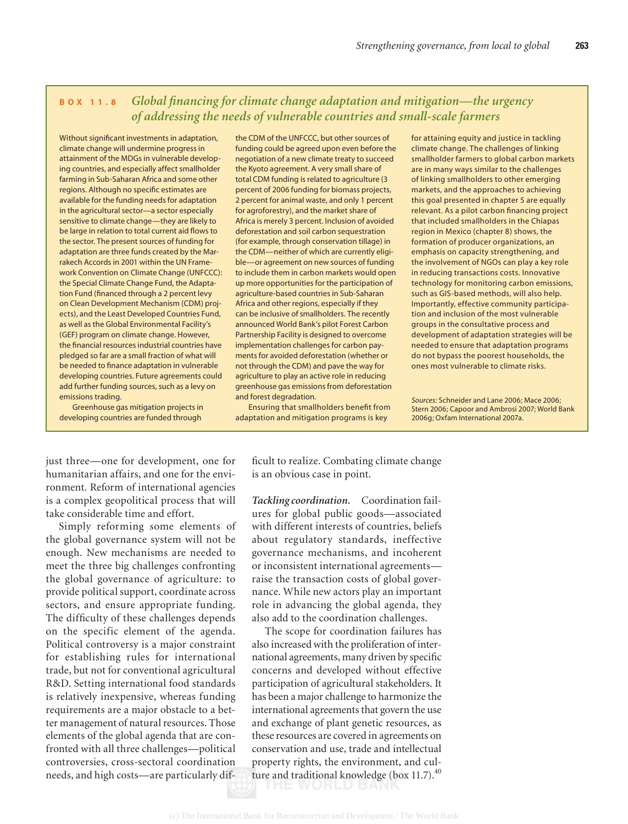## **BOX 11.8** Global financing for climate change adaptation and mitigation—the urgency *of addressing the needs of vulnerable countries and small-scale farmers*

Without significant investments in adaptation, climate change will undermine progress in attainment of the MDGs in vulnerable developing countries, and especially affect smallholder farming in Sub-Saharan Africa and some other regions. Although no specific estimates are available for the funding needs for adaptation in the agricultural sector—a sector especially sensitive to climate change—they are likely to be large in relation to total current aid flows to the sector. The present sources of funding for adaptation are three funds created by the Marrakech Accords in 2001 within the UN Framework Convention on Climate Change (UNFCCC): the Special Climate Change Fund, the Adaptation Fund (financed through a 2 percent levy on Clean Development Mechanism (CDM) projects), and the Least Developed Countries Fund, as well as the Global Environmental Facility's (GEF) program on climate change. However, the financial resources industrial countries have pledged so far are a small fraction of what will be needed to finance adaptation in vulnerable developing countries. Future agreements could add further funding sources, such as a levy on emissions trading.

Greenhouse gas mitigation projects in developing countries are funded through

the CDM of the UNFCCC, but other sources of funding could be agreed upon even before the negotiation of a new climate treaty to succeed the Kyoto agreement. A very small share of total CDM funding is related to agriculture (3 percent of 2006 funding for biomass projects, 2 percent for animal waste, and only 1 percent for agroforestry), and the market share of Africa is merely 3 percent. Inclusion of avoided deforestation and soil carbon sequestration (for example, through conservation tillage) in the CDM—neither of which are currently eligible—or agreement on new sources of funding to include them in carbon markets would open up more opportunities for the participation of agriculture-based countries in Sub-Saharan Africa and other regions, especially if they can be inclusive of smallholders. The recently announced World Bank's pilot Forest Carbon Partnership Facility is designed to overcome implementation challenges for carbon payments for avoided deforestation (whether or not through the CDM) and pave the way for agriculture to play an active role in reducing greenhouse gas emissions from deforestation and forest degradation.

Ensuring that smallholders benefit from adaptation and mitigation programs is key

for attaining equity and justice in tackling climate change. The challenges of linking smallholder farmers to global carbon markets are in many ways similar to the challenges of linking smallholders to other emerging markets, and the approaches to achieving this goal presented in chapter 5 are equally relevant. As a pilot carbon financing project that included smallholders in the Chiapas region in Mexico (chapter 8) shows, the formation of producer organizations, an emphasis on capacity strengthening, and the involvement of NGOs can play a key role in reducing transactions costs. Innovative technology for monitoring carbon emissions, such as GIS-based methods, will also help. Importantly, effective community participation and inclusion of the most vulnerable groups in the consultative process and development of adaptation strategies will be needed to ensure that adaptation programs do not bypass the poorest households, the ones most vulnerable to climate risks.

*Sources:* Schneider and Lane 2006; Mace 2006; Stern 2006; Capoor and Ambrosi 2007; World Bank 2006g; Oxfam International 2007a.

just three—one for development, one for humanitarian affairs, and one for the environment. Reform of international agencies is a complex geopolitical process that will take considerable time and effort.

Simply reforming some elements of the global governance system will not be enough. New mechanisms are needed to meet the three big challenges confronting the global governance of agriculture: to provide political support, coordinate across sectors, and ensure appropriate funding. The difficulty of these challenges depends on the specific element of the agenda. Political controversy is a major constraint for establishing rules for international trade, but not for conventional agricultural R&D. Setting international food standards is relatively inexpensive, whereas funding requirements are a major obstacle to a better management of natural resources. Those elements of the global agenda that are confronted with all three challenges—political controversies, cross-sectoral coordination needs, and high costs—are particularly dif-

ficult to realize. Combating climate change is an obvious case in point.

*Tackling coordination.* Coordination failures for global public goods—associated with different interests of countries, beliefs about regulatory standards, ineffective governance mechanisms, and incoherent or inconsistent international agreements raise the transaction costs of global governance. While new actors play an important role in advancing the global agenda, they also add to the coordination challenges.

The scope for coordination failures has also increased with the proliferation of international agreements, many driven by specific concerns and developed without effective participation of agricultural stakeholders. It has been a major challenge to harmonize the international agreements that govern the use and exchange of plant genetic resources, as these resources are covered in agreements on conservation and use, trade and intellectual property rights, the environment, and culture and traditional knowledge (box  $11.7$ ).<sup>40</sup>

(c) The International Bank for Reconstruction and Development / The World Bank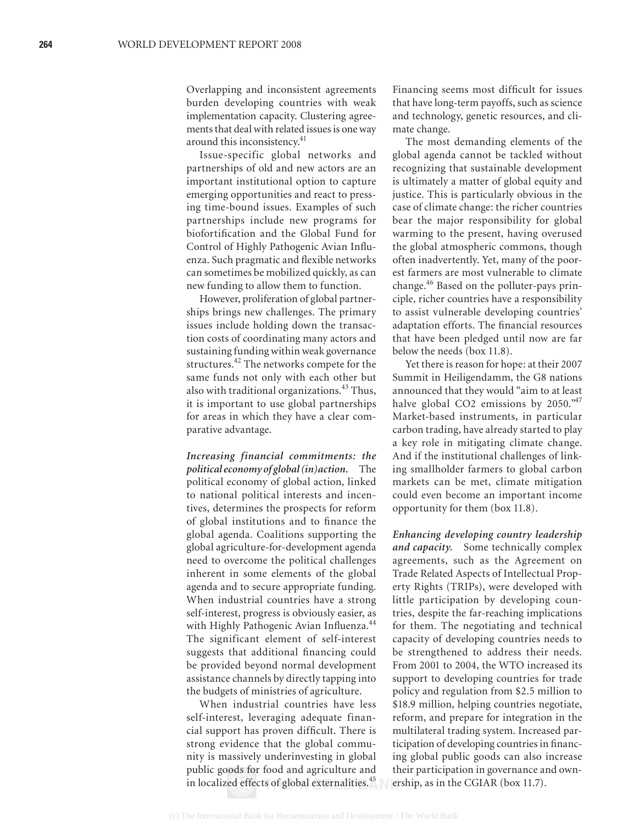Overlapping and inconsistent agreements burden developing countries with weak implementation capacity. Clustering agreements that deal with related issues is one way around this inconsistency.<sup>41</sup>

Issue-specific global networks and partnerships of old and new actors are an important institutional option to capture emerging opportunities and react to pressing time-bound issues. Examples of such partnerships include new programs for biofortification and the Global Fund for Control of Highly Pathogenic Avian Influenza. Such pragmatic and flexible networks can sometimes be mobilized quickly, as can new funding to allow them to function.

However, proliferation of global partnerships brings new challenges. The primary issues include holding down the transaction costs of coordinating many actors and sustaining funding within weak governance structures.<sup>42</sup> The networks compete for the same funds not only with each other but also with traditional organizations.<sup>43</sup> Thus, it is important to use global partnerships for areas in which they have a clear comparative advantage.

*Increasing financial commitments: the political economy of global (in)action.* The political economy of global action, linked to national political interests and incentives, determines the prospects for reform of global institutions and to finance the global agenda. Coalitions supporting the global agriculture-for-development agenda need to overcome the political challenges inherent in some elements of the global agenda and to secure appropriate funding. When industrial countries have a strong self-interest, progress is obviously easier, as with Highly Pathogenic Avian Influenza.<sup>44</sup> The significant element of self-interest suggests that additional financing could be provided beyond normal development assistance channels by directly tapping into the budgets of ministries of agriculture.

When industrial countries have less self-interest, leveraging adequate financial support has proven difficult. There is strong evidence that the global community is massively underinvesting in global public goods for food and agriculture and in localized effects of global externalities.<sup>45</sup> Financing seems most difficult for issues that have long-term payoffs, such as science and technology, genetic resources, and climate change.

The most demanding elements of the global agenda cannot be tackled without recognizing that sustainable development is ultimately a matter of global equity and justice. This is particularly obvious in the case of climate change: the richer countries bear the major responsibility for global warming to the present, having overused the global atmospheric commons, though often inadvertently. Yet, many of the poorest farmers are most vulnerable to climate change.46 Based on the polluter-pays principle, richer countries have a responsibility to assist vulnerable developing countries' adaptation efforts. The financial resources that have been pledged until now are far below the needs (box 11.8).

Yet there is reason for hope: at their 2007 Summit in Heiligendamm, the G8 nations announced that they would "aim to at least halve global CO2 emissions by 2050."<sup>47</sup> Market-based instruments, in particular carbon trading, have already started to play a key role in mitigating climate change. And if the institutional challenges of linking smallholder farmers to global carbon markets can be met, climate mitigation could even become an important income opportunity for them (box 11.8).

*Enhancing developing country leadership and capacity.* Some technically complex agreements, such as the Agreement on Trade Related Aspects of Intellectual Property Rights (TRIPs), were developed with little participation by developing countries, despite the far-reaching implications for them. The negotiating and technical capacity of developing countries needs to be strengthened to address their needs. From 2001 to 2004, the WTO increased its support to developing countries for trade policy and regulation from \$2.5 million to \$18.9 million, helping countries negotiate, reform, and prepare for integration in the multilateral trading system. Increased participation of developing countries in financing global public goods can also increase their participation in governance and ownership, as in the CGIAR (box 11.7).